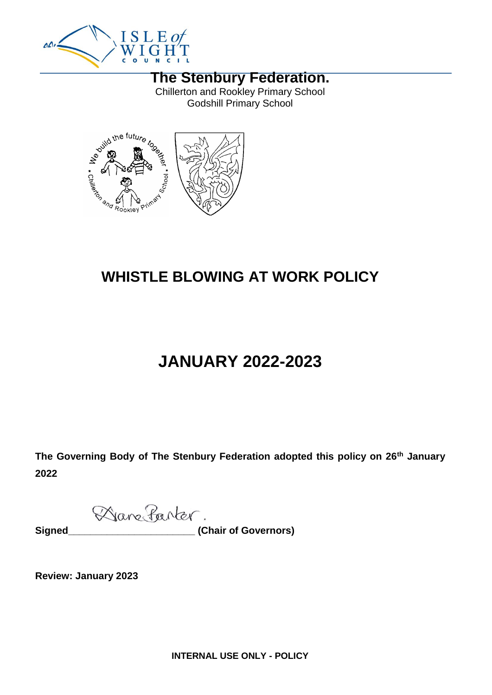

#### **The Stenbury Federation.**

Chillerton and Rookley Primary School Godshill Primary School



# **WHISTLE BLOWING AT WORK POLICY**

# **JANUARY 2022-2023**

**The Governing Body of The Stenbury Federation adopted this policy on 26th January 2022**

Dane Parter.

Signed

**Signed 2018** (Chair of Governors)

**Review: January 2023**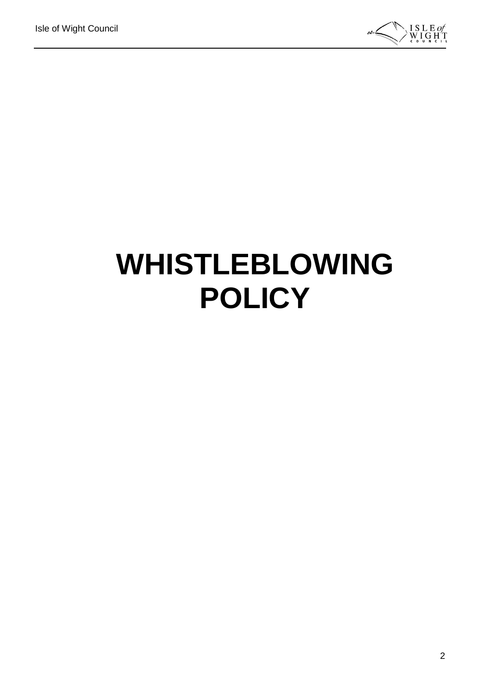

# **WHISTLEBLOWING POLICY**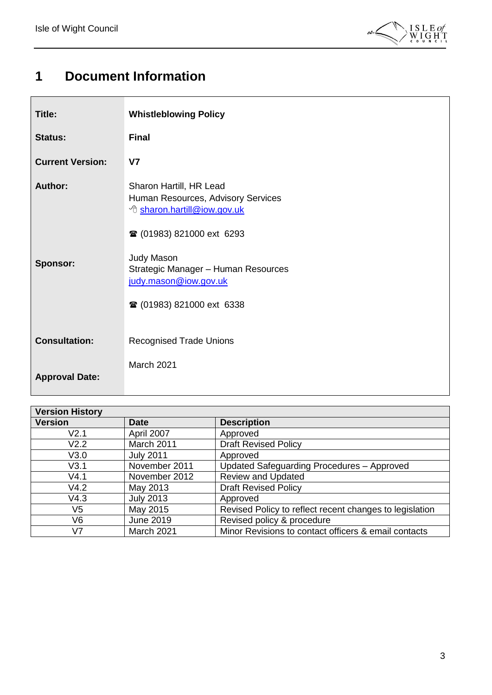$\mathsf{r}$ 



## <span id="page-2-0"></span>**1 Document Information**

| Title:                            | <b>Whistleblowing Policy</b>                                                                                                                                                                                                                                         |
|-----------------------------------|----------------------------------------------------------------------------------------------------------------------------------------------------------------------------------------------------------------------------------------------------------------------|
| <b>Status:</b>                    | <b>Final</b>                                                                                                                                                                                                                                                         |
| <b>Current Version:</b>           | V <sub>7</sub>                                                                                                                                                                                                                                                       |
| <b>Author:</b><br><b>Sponsor:</b> | Sharon Hartill, HR Lead<br>Human Resources, Advisory Services<br><sup>t</sup> sharon.hartill@iow.gov.uk<br><b>■ (01983) 821000 ext 6293</b><br><b>Judy Mason</b><br>Strategic Manager - Human Resources<br>judy.mason@iow.gov.uk<br><b>■ (01983) 821000 ext 6338</b> |
| <b>Consultation:</b>              | <b>Recognised Trade Unions</b>                                                                                                                                                                                                                                       |
| <b>Approval Date:</b>             | March 2021                                                                                                                                                                                                                                                           |

| <b>Version History</b> |                  |                                                         |  |  |
|------------------------|------------------|---------------------------------------------------------|--|--|
| <b>Version</b>         | <b>Date</b>      | <b>Description</b>                                      |  |  |
| V2.1                   | April 2007       | Approved                                                |  |  |
| V2.2                   | March 2011       | <b>Draft Revised Policy</b>                             |  |  |
| V3.0                   | <b>July 2011</b> | Approved                                                |  |  |
| V3.1                   | November 2011    | Updated Safeguarding Procedures - Approved              |  |  |
| V4.1                   | November 2012    | <b>Review and Updated</b>                               |  |  |
| V4.2                   | May 2013         | <b>Draft Revised Policy</b>                             |  |  |
| V4.3                   | <b>July 2013</b> | Approved                                                |  |  |
| V5                     | May 2015         | Revised Policy to reflect recent changes to legislation |  |  |
| V6                     | <b>June 2019</b> | Revised policy & procedure                              |  |  |
| V7                     | March 2021       | Minor Revisions to contact officers & email contacts    |  |  |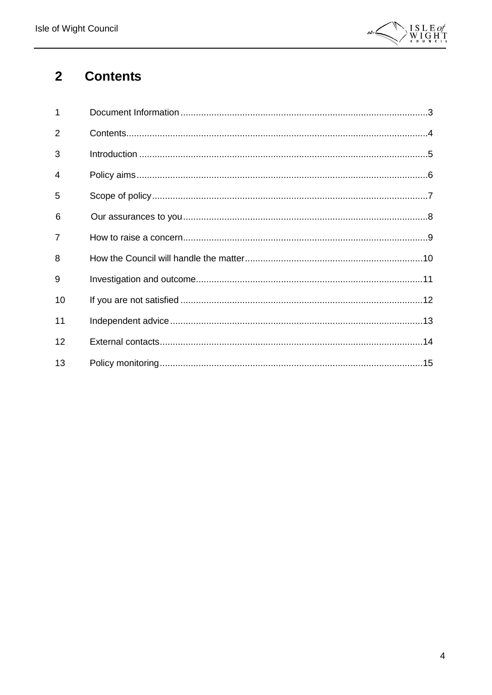

#### <span id="page-3-0"></span>**Contents**  $\overline{2}$

| 1              |  |
|----------------|--|
| $\overline{2}$ |  |
| 3              |  |
| 4              |  |
| 5              |  |
| 6              |  |
| 7              |  |
| 8              |  |
| 9              |  |
| 10             |  |
| 11             |  |
| 12             |  |
| 13             |  |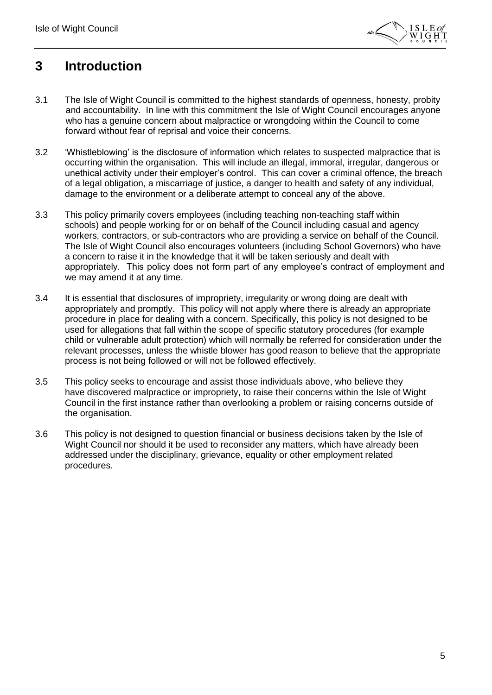

#### <span id="page-4-0"></span>**3 Introduction**

- 3.1 The Isle of Wight Council is committed to the highest standards of openness, honesty, probity and accountability. In line with this commitment the Isle of Wight Council encourages anyone who has a genuine concern about malpractice or wrongdoing within the Council to come forward without fear of reprisal and voice their concerns.
- 3.2 'Whistleblowing' is the disclosure of information which relates to suspected malpractice that is occurring within the organisation. This will include an illegal, immoral, irregular, dangerous or unethical activity under their employer's control. This can cover a criminal offence, the breach of a legal obligation, a miscarriage of justice, a danger to health and safety of any individual, damage to the environment or a deliberate attempt to conceal any of the above.
- 3.3 This policy primarily covers employees (including teaching non-teaching staff within schools) and people working for or on behalf of the Council including casual and agency workers, contractors, or sub-contractors who are providing a service on behalf of the Council. The Isle of Wight Council also encourages volunteers (including School Governors) who have a concern to raise it in the knowledge that it will be taken seriously and dealt with appropriately. This policy does not form part of any employee's contract of employment and we may amend it at any time.
- 3.4 It is essential that disclosures of impropriety, irregularity or wrong doing are dealt with appropriately and promptly. This policy will not apply where there is already an appropriate procedure in place for dealing with a concern. Specifically, this policy is not designed to be used for allegations that fall within the scope of specific statutory procedures (for example child or vulnerable adult protection) which will normally be referred for consideration under the relevant processes, unless the whistle blower has good reason to believe that the appropriate process is not being followed or will not be followed effectively.
- 3.5 This policy seeks to encourage and assist those individuals above, who believe they have discovered malpractice or impropriety, to raise their concerns within the Isle of Wight Council in the first instance rather than overlooking a problem or raising concerns outside of the organisation.
- 3.6 This policy is not designed to question financial or business decisions taken by the Isle of Wight Council nor should it be used to reconsider any matters, which have already been addressed under the disciplinary, grievance, equality or other employment related procedures.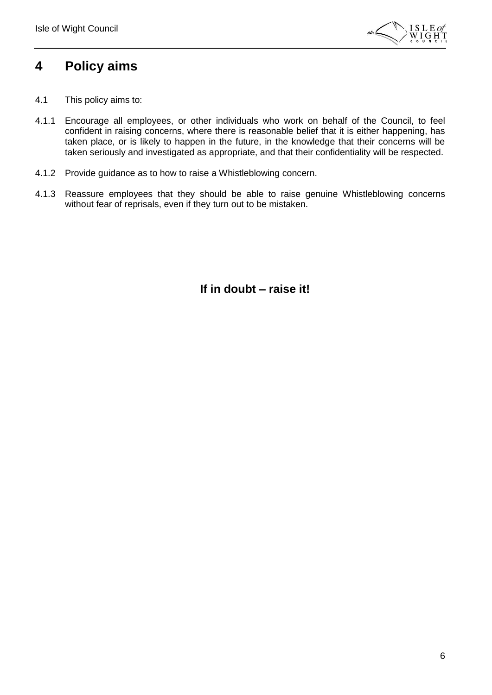

#### <span id="page-5-0"></span>**4 Policy aims**

- 4.1 This policy aims to:
- 4.1.1 Encourage all employees, or other individuals who work on behalf of the Council, to feel confident in raising concerns, where there is reasonable belief that it is either happening, has taken place, or is likely to happen in the future, in the knowledge that their concerns will be taken seriously and investigated as appropriate, and that their confidentiality will be respected.
- 4.1.2 Provide guidance as to how to raise a Whistleblowing concern.
- 4.1.3 Reassure employees that they should be able to raise genuine Whistleblowing concerns without fear of reprisals, even if they turn out to be mistaken.

**If in doubt – raise it!**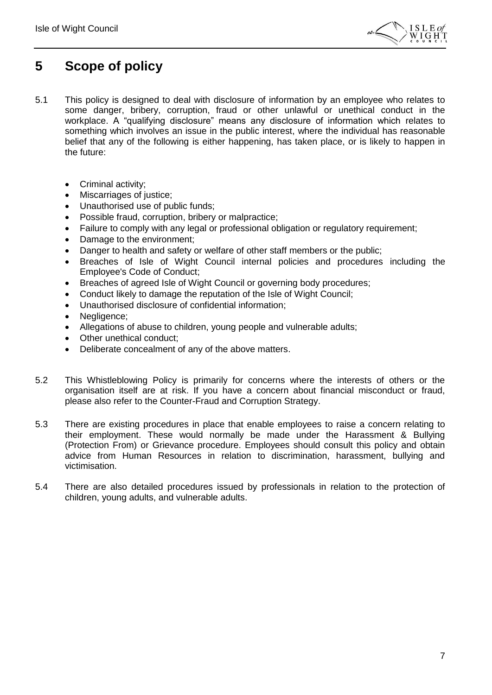

### <span id="page-6-0"></span>**5 Scope of policy**

- 5.1 This policy is designed to deal with disclosure of information by an employee who relates to some danger, bribery, corruption, fraud or other unlawful or unethical conduct in the workplace. A "qualifying disclosure" means any disclosure of information which relates to something which involves an issue in the public interest, where the individual has reasonable belief that any of the following is either happening, has taken place, or is likely to happen in the future:
	- Criminal activity;
	- Miscarriages of justice;
	- Unauthorised use of public funds;
	- Possible fraud, corruption, bribery or malpractice;
	- Failure to comply with any legal or professional obligation or regulatory requirement;
	- Damage to the environment;
	- Danger to health and safety or welfare of other staff members or the public;
	- Breaches of Isle of Wight Council internal policies and procedures including the Employee's Code of Conduct;
	- Breaches of agreed Isle of Wight Council or governing body procedures;
	- Conduct likely to damage the reputation of the Isle of Wight Council;
	- Unauthorised disclosure of confidential information;
	- Negligence;
	- Allegations of abuse to children, young people and vulnerable adults;
	- Other unethical conduct;
	- Deliberate concealment of any of the above matters.
- 5.2 This Whistleblowing Policy is primarily for concerns where the interests of others or the organisation itself are at risk. If you have a concern about financial misconduct or fraud, please also refer to the Counter-Fraud and Corruption Strategy.
- 5.3 There are existing procedures in place that enable employees to raise a concern relating to their employment. These would normally be made under the Harassment & Bullying (Protection From) or Grievance procedure. Employees should consult this policy and obtain advice from Human Resources in relation to discrimination, harassment, bullying and victimisation.
- 5.4 There are also detailed procedures issued by professionals in relation to the protection of children, young adults, and vulnerable adults.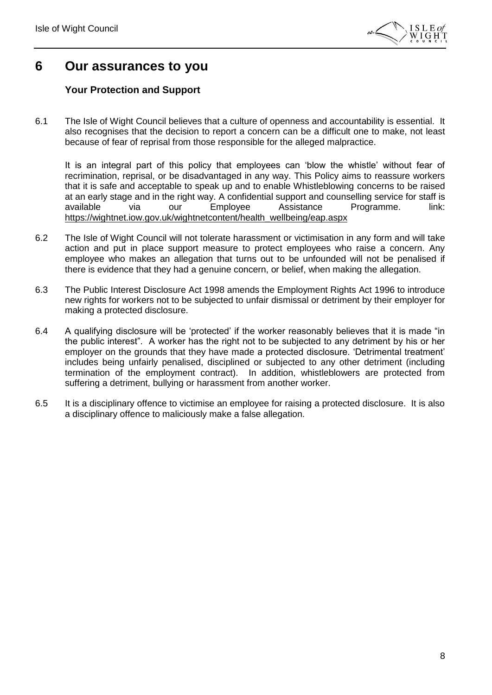

#### <span id="page-7-0"></span>**6 Our assurances to you**

#### **Your Protection and Support**

6.1 The Isle of Wight Council believes that a culture of openness and accountability is essential. It also recognises that the decision to report a concern can be a difficult one to make, not least because of fear of reprisal from those responsible for the alleged malpractice.

It is an integral part of this policy that employees can 'blow the whistle' without fear of recrimination, reprisal, or be disadvantaged in any way. This Policy aims to reassure workers that it is safe and acceptable to speak up and to enable Whistleblowing concerns to be raised at an early stage and in the right way. A confidential support and counselling service for staff is available via our Employee Assistance Programme. link: [https://wightnet.iow.gov.uk/wightnetcontent/health\\_wellbeing/eap.aspx](https://wightnet.iow.gov.uk/wightnetcontent/health_wellbeing/eap.aspx)

- 6.2 The Isle of Wight Council will not tolerate harassment or victimisation in any form and will take action and put in place support measure to protect employees who raise a concern. Any employee who makes an allegation that turns out to be unfounded will not be penalised if there is evidence that they had a genuine concern, or belief, when making the allegation.
- 6.3 The Public Interest Disclosure Act 1998 amends the Employment Rights Act 1996 to introduce new rights for workers not to be subjected to unfair dismissal or detriment by their employer for making a protected disclosure.
- 6.4 A qualifying disclosure will be 'protected' if the worker reasonably believes that it is made "in the public interest". A worker has the right not to be subjected to any detriment by his or her employer on the grounds that they have made a protected disclosure. 'Detrimental treatment' includes being unfairly penalised, disciplined or subjected to any other detriment (including termination of the employment contract). In addition, whistleblowers are protected from suffering a detriment, bullying or harassment from another worker.
- 6.5 It is a disciplinary offence to victimise an employee for raising a protected disclosure. It is also a disciplinary offence to maliciously make a false allegation.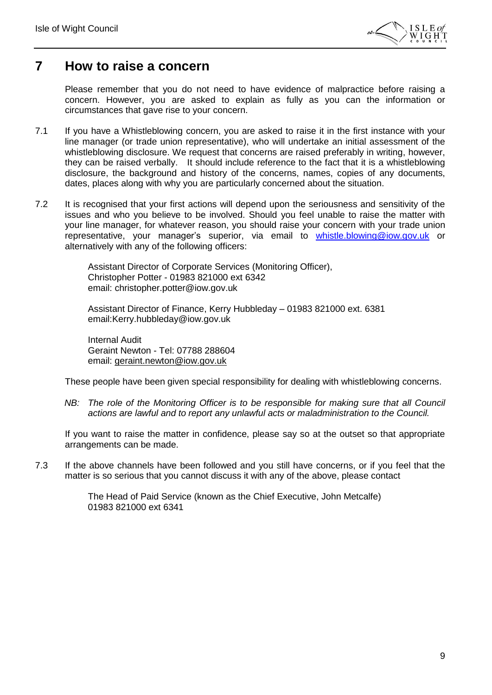

#### <span id="page-8-0"></span>**7 How to raise a concern**

Please remember that you do not need to have evidence of malpractice before raising a concern. However, you are asked to explain as fully as you can the information or circumstances that gave rise to your concern.

- 7.1 If you have a Whistleblowing concern, you are asked to raise it in the first instance with your line manager (or trade union representative), who will undertake an initial assessment of the whistleblowing disclosure. We request that concerns are raised preferably in writing, however, they can be raised verbally. It should include reference to the fact that it is a whistleblowing disclosure, the background and history of the concerns, names, copies of any documents, dates, places along with why you are particularly concerned about the situation.
- 7.2 It is recognised that your first actions will depend upon the seriousness and sensitivity of the issues and who you believe to be involved. Should you feel unable to raise the matter with your line manager, for whatever reason, you should raise your concern with your trade union representative, your manager's superior, via email to [whistle.blowing@iow.gov.uk](mailto:whistle.blowing@iow.gov.uk) or alternatively with any of the following officers:

Assistant Director of Corporate Services (Monitoring Officer), Christopher Potter - 01983 821000 ext 6342 email: christopher.potter@iow.gov.uk

Assistant Director of Finance, Kerry Hubbleday – 01983 821000 ext. 6381 email:Kerry.hubbleday@iow.gov.uk

Internal Audit Geraint Newton - Tel: 07788 288604 email: [geraint.newton@iow.gov.uk](../Downloads/geraint.newton@iow.gov.uk)

These people have been given special responsibility for dealing with whistleblowing concerns.

*NB:* The role of the Monitoring Officer is to be responsible for making sure that all Council *actions are lawful and to report any unlawful acts or maladministration to the Council.*

If you want to raise the matter in confidence, please say so at the outset so that appropriate arrangements can be made.

7.3 If the above channels have been followed and you still have concerns, or if you feel that the matter is so serious that you cannot discuss it with any of the above, please contact

> The Head of Paid Service (known as the Chief Executive, John Metcalfe) 01983 821000 ext 6341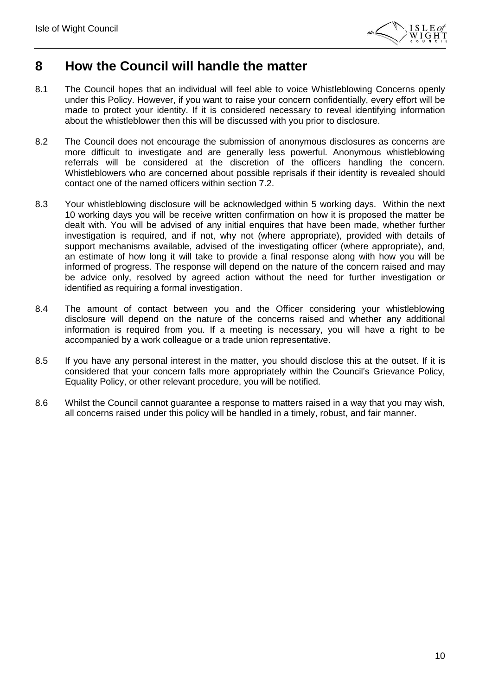

#### <span id="page-9-0"></span>**8 How the Council will handle the matter**

- 8.1 The Council hopes that an individual will feel able to voice Whistleblowing Concerns openly under this Policy. However, if you want to raise your concern confidentially, every effort will be made to protect your identity. If it is considered necessary to reveal identifying information about the whistleblower then this will be discussed with you prior to disclosure.
- 8.2 The Council does not encourage the submission of anonymous disclosures as concerns are more difficult to investigate and are generally less powerful. Anonymous whistleblowing referrals will be considered at the discretion of the officers handling the concern. Whistleblowers who are concerned about possible reprisals if their identity is revealed should contact one of the named officers within section 7.2.
- 8.3 Your whistleblowing disclosure will be acknowledged within 5 working days. Within the next 10 working days you will be receive written confirmation on how it is proposed the matter be dealt with. You will be advised of any initial enquires that have been made, whether further investigation is required, and if not, why not (where appropriate), provided with details of support mechanisms available, advised of the investigating officer (where appropriate), and, an estimate of how long it will take to provide a final response along with how you will be informed of progress. The response will depend on the nature of the concern raised and may be advice only, resolved by agreed action without the need for further investigation or identified as requiring a formal investigation.
- 8.4 The amount of contact between you and the Officer considering your whistleblowing disclosure will depend on the nature of the concerns raised and whether any additional information is required from you. If a meeting is necessary, you will have a right to be accompanied by a work colleague or a trade union representative.
- 8.5 If you have any personal interest in the matter, you should disclose this at the outset. If it is considered that your concern falls more appropriately within the Council's Grievance Policy, Equality Policy, or other relevant procedure, you will be notified.
- 8.6 Whilst the Council cannot guarantee a response to matters raised in a way that you may wish, all concerns raised under this policy will be handled in a timely, robust, and fair manner.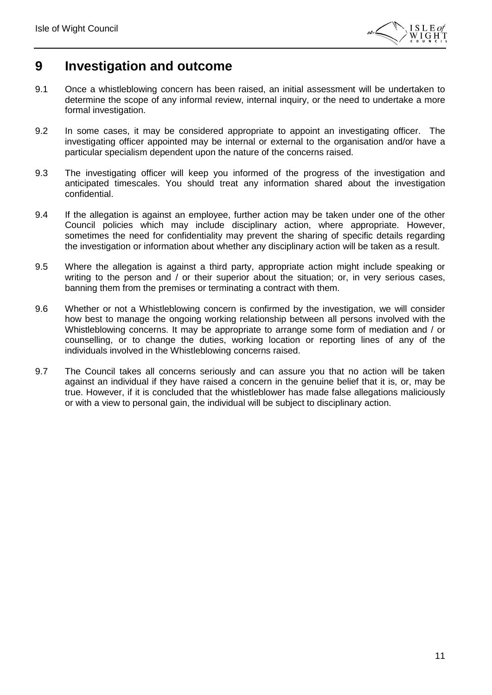

#### <span id="page-10-0"></span>**9 Investigation and outcome**

- 9.1 Once a whistleblowing concern has been raised, an initial assessment will be undertaken to determine the scope of any informal review, internal inquiry, or the need to undertake a more formal investigation.
- 9.2 In some cases, it may be considered appropriate to appoint an investigating officer. The investigating officer appointed may be internal or external to the organisation and/or have a particular specialism dependent upon the nature of the concerns raised.
- 9.3 The investigating officer will keep you informed of the progress of the investigation and anticipated timescales. You should treat any information shared about the investigation confidential.
- 9.4 If the allegation is against an employee, further action may be taken under one of the other Council policies which may include disciplinary action, where appropriate. However, sometimes the need for confidentiality may prevent the sharing of specific details regarding the investigation or information about whether any disciplinary action will be taken as a result.
- 9.5 Where the allegation is against a third party, appropriate action might include speaking or writing to the person and / or their superior about the situation; or, in very serious cases, banning them from the premises or terminating a contract with them.
- 9.6 Whether or not a Whistleblowing concern is confirmed by the investigation, we will consider how best to manage the ongoing working relationship between all persons involved with the Whistleblowing concerns. It may be appropriate to arrange some form of mediation and / or counselling, or to change the duties, working location or reporting lines of any of the individuals involved in the Whistleblowing concerns raised.
- 9.7 The Council takes all concerns seriously and can assure you that no action will be taken against an individual if they have raised a concern in the genuine belief that it is, or, may be true. However, if it is concluded that the whistleblower has made false allegations maliciously or with a view to personal gain, the individual will be subject to disciplinary action.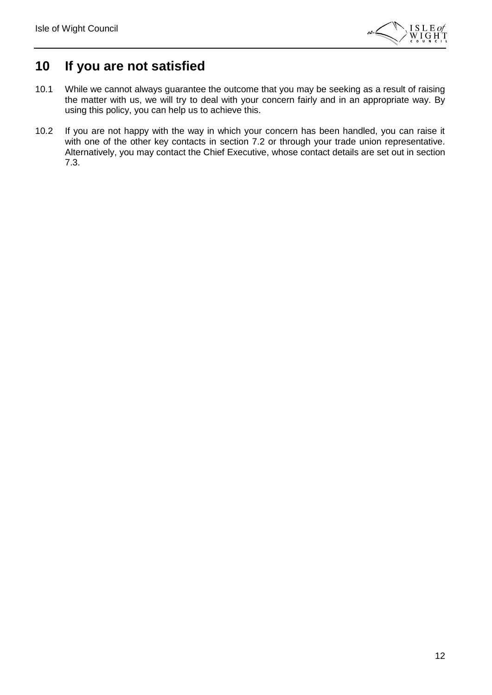

#### <span id="page-11-0"></span>**10 If you are not satisfied**

- 10.1 While we cannot always guarantee the outcome that you may be seeking as a result of raising the matter with us, we will try to deal with your concern fairly and in an appropriate way. By using this policy, you can help us to achieve this.
- 10.2 If you are not happy with the way in which your concern has been handled, you can raise it with one of the other key contacts in section 7.2 or through your trade union representative. Alternatively, you may contact the Chief Executive, whose contact details are set out in section 7.3.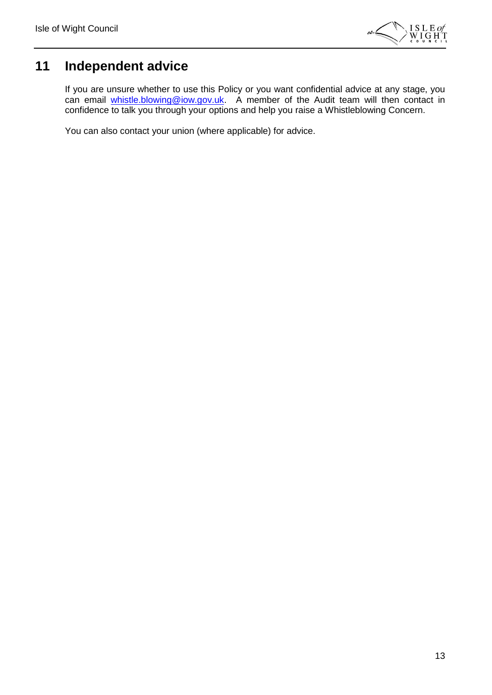

## <span id="page-12-0"></span>**11 Independent advice**

If you are unsure whether to use this Policy or you want confidential advice at any stage, you can email [whistle.blowing@iow.gov.uk.](mailto:whistle.blowing@iow.gov.uk) A member of the Audit team will then contact in confidence to talk you through your options and help you raise a Whistleblowing Concern.

You can also contact your union (where applicable) for advice.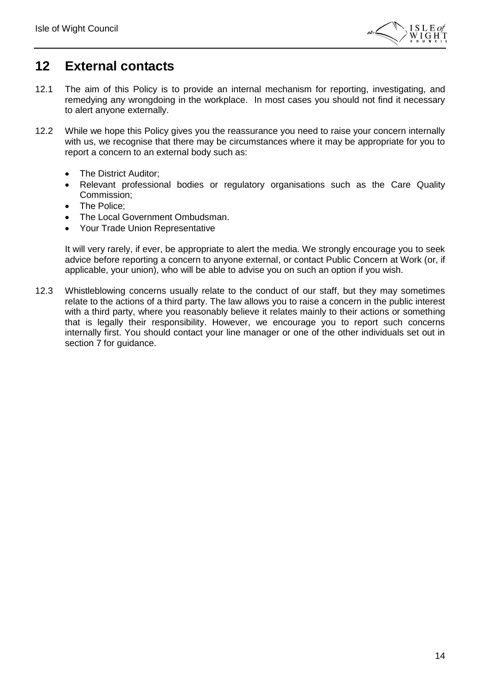

#### <span id="page-13-0"></span>**12 External contacts**

- 12.1 The aim of this Policy is to provide an internal mechanism for reporting, investigating, and remedying any wrongdoing in the workplace. In most cases you should not find it necessary to alert anyone externally.
- 12.2 While we hope this Policy gives you the reassurance you need to raise your concern internally with us, we recognise that there may be circumstances where it may be appropriate for you to report a concern to an external body such as:
	- The District Auditor;
	- Relevant professional bodies or regulatory organisations such as the Care Quality Commission;
	- The Police;
	- The Local Government Ombudsman.
	- Your Trade Union Representative

It will very rarely, if ever, be appropriate to alert the media. We strongly encourage you to seek advice before reporting a concern to anyone external, or contact Public Concern at Work (or, if applicable, your union), who will be able to advise you on such an option if you wish.

12.3 Whistleblowing concerns usually relate to the conduct of our staff, but they may sometimes relate to the actions of a third party. The law allows you to raise a concern in the public interest with a third party, where you reasonably believe it relates mainly to their actions or something that is legally their responsibility. However, we encourage you to report such concerns internally first. You should contact your line manager or one of the other individuals set out in section 7 for guidance.